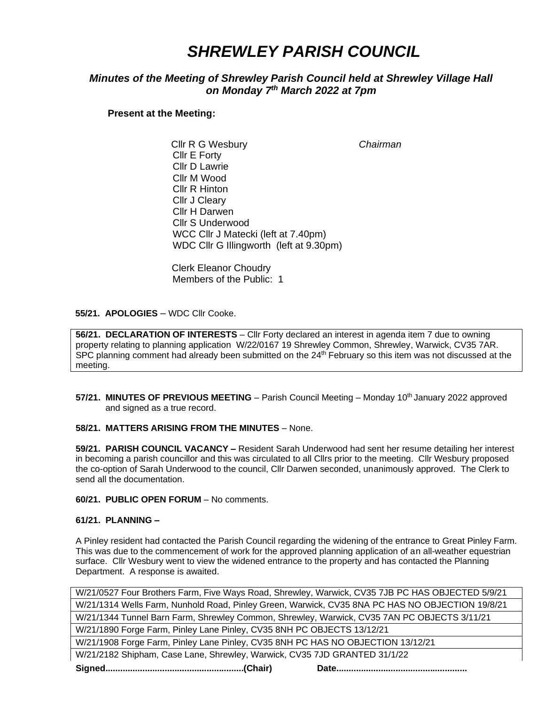# *SHREWLEY PARISH COUNCIL*

## *Minutes of the Meeting of Shrewley Parish Council held at Shrewley Village Hall on Monday 7 th March 2022 at 7pm*

**Present at the Meeting:**

 Cllr R G Wesbury *Chairman* Cllr E Forty Cllr D Lawrie Cllr M Wood Cllr R Hinton Cllr J Cleary Cllr H Darwen Cllr S Underwood WCC Cllr J Matecki (left at 7.40pm) WDC Cllr G Illingworth (left at 9.30pm)

Clerk Eleanor Choudry Members of the Public: 1

 **55/21. APOLOGIES** – WDC Cllr Cooke.

**56/21. DECLARATION OF INTERESTS** – Cllr Forty declared an interest in agenda item 7 due to owning property relating to planning application W/22/0167 19 Shrewley Common, Shrewley, Warwick, CV35 7AR. SPC planning comment had already been submitted on the 24<sup>th</sup> February so this item was not discussed at the meeting.

**57/21. MINUTES OF PREVIOUS MEETING** – Parish Council Meeting – Monday 10<sup>th</sup> January 2022 approved and signed as a true record.

#### **58/21. MATTERS ARISING FROM THE MINUTES** – None.

**59/21. PARISH COUNCIL VACANCY –** Resident Sarah Underwood had sent her resume detailing her interest in becoming a parish councillor and this was circulated to all Cllrs prior to the meeting. Cllr Wesbury proposed the co-option of Sarah Underwood to the council, Cllr Darwen seconded, unanimously approved. The Clerk to send all the documentation.

**60/21. PUBLIC OPEN FORUM** – No comments.

### **61/21. PLANNING –**

A Pinley resident had contacted the Parish Council regarding the widening of the entrance to Great Pinley Farm. This was due to the commencement of work for the approved planning application of an all-weather equestrian surface. Cllr Wesbury went to view the widened entrance to the property and has contacted the Planning Department. A response is awaited.

| W/21/0527 Four Brothers Farm, Five Ways Road, Shrewley, Warwick, CV35 7JB PC HAS OBJECTED 5/9/21 |
|--------------------------------------------------------------------------------------------------|
| W/21/1314 Wells Farm, Nunhold Road, Pinley Green, Warwick, CV35 8NA PC HAS NO OBJECTION 19/8/21  |
| W/21/1344 Tunnel Barn Farm, Shrewley Common, Shrewley, Warwick, CV35 7AN PC OBJECTS 3/11/21      |
| W/21/1890 Forge Farm, Pinley Lane Pinley, CV35 8NH PC OBJECTS 13/12/21                           |
| W/21/1908 Forge Farm, Pinley Lane Pinley, CV35 8NH PC HAS NO OBJECTION 13/12/21                  |
| W/21/2182 Shipham, Case Lane, Shrewley, Warwick, CV35 7JD GRANTED 31/1/22                        |
|                                                                                                  |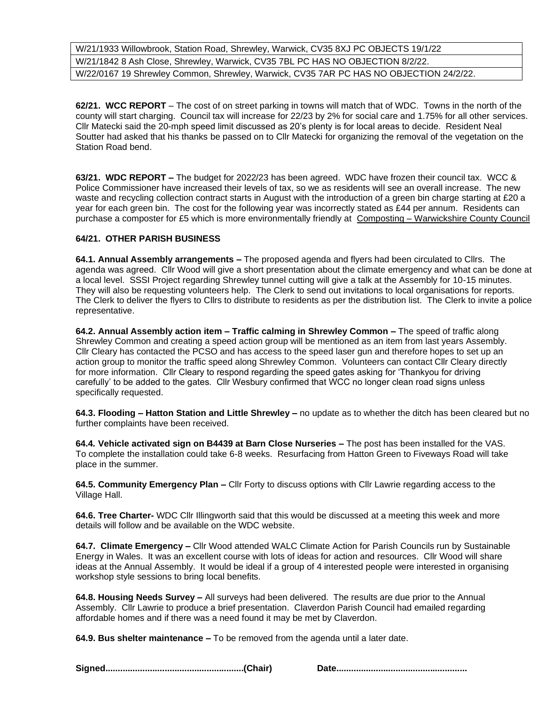W/21/1933 Willowbrook, Station Road, Shrewley, Warwick, CV35 8XJ PC OBJECTS 19/1/22 W/21/1842 8 Ash Close, Shrewley, Warwick, CV35 7BL PC HAS NO OBJECTION 8/2/22. W/22/0167 19 Shrewley Common, Shrewley, Warwick, CV35 7AR PC HAS NO OBJECTION 24/2/22.

**62/21. WCC REPORT** – The cost of on street parking in towns will match that of WDC. Towns in the north of the county will start charging. Council tax will increase for 22/23 by 2% for social care and 1.75% for all other services. Cllr Matecki said the 20-mph speed limit discussed as 20's plenty is for local areas to decide. Resident Neal Soutter had asked that his thanks be passed on to Cllr Matecki for organizing the removal of the vegetation on the Station Road bend.

**63/21. WDC REPORT –** The budget for 2022/23 has been agreed. WDC have frozen their council tax. WCC & Police Commissioner have increased their levels of tax, so we as residents will see an overall increase. The new waste and recycling collection contract starts in August with the introduction of a green bin charge starting at £20 a year for each green bin. The cost for the following year was incorrectly stated as £44 per annum. Residents can purchase a composter for £5 which is more environmentally friendly at Composting – [Warwickshire County Council](https://www.warwickshire.gov.uk/green-waste/composting/6)

### **64/21. OTHER PARISH BUSINESS**

**64.1. Annual Assembly arrangements –** The proposed agenda and flyers had been circulated to Cllrs. The agenda was agreed. Cllr Wood will give a short presentation about the climate emergency and what can be done at a local level. SSSI Project regarding Shrewley tunnel cutting will give a talk at the Assembly for 10-15 minutes. They will also be requesting volunteers help. The Clerk to send out invitations to local organisations for reports. The Clerk to deliver the flyers to Cllrs to distribute to residents as per the distribution list. The Clerk to invite a police representative.

**64.2. Annual Assembly action item – Traffic calming in Shrewley Common –** The speed of traffic along Shrewley Common and creating a speed action group will be mentioned as an item from last years Assembly. Cllr Cleary has contacted the PCSO and has access to the speed laser gun and therefore hopes to set up an action group to monitor the traffic speed along Shrewley Common. Volunteers can contact Cllr Cleary directly for more information. Cllr Cleary to respond regarding the speed gates asking for 'Thankyou for driving carefully' to be added to the gates. Cllr Wesbury confirmed that WCC no longer clean road signs unless specifically requested.

**64.3. Flooding – Hatton Station and Little Shrewley –** no update as to whether the ditch has been cleared but no further complaints have been received.

**64.4***.* **Vehicle activated sign on B4439 at Barn Close Nurseries –** The post has been installed for the VAS. To complete the installation could take 6-8 weeks. Resurfacing from Hatton Green to Fiveways Road will take place in the summer.

**64.5. Community Emergency Plan –** Cllr Forty to discuss options with Cllr Lawrie regarding access to the Village Hall.

**64.6. Tree Charter-** WDC Cllr Illingworth said that this would be discussed at a meeting this week and more details will follow and be available on the WDC website.

**64.7. Climate Emergency –** Cllr Wood attended WALC Climate Action for Parish Councils run by Sustainable Energy in Wales. It was an excellent course with lots of ideas for action and resources. Cllr Wood will share ideas at the Annual Assembly. It would be ideal if a group of 4 interested people were interested in organising workshop style sessions to bring local benefits.

**64.8. Housing Needs Survey –** All surveys had been delivered. The results are due prior to the Annual Assembly. Cllr Lawrie to produce a brief presentation. Claverdon Parish Council had emailed regarding affordable homes and if there was a need found it may be met by Claverdon.

**64.9. Bus shelter maintenance –** To be removed from the agenda until a later date.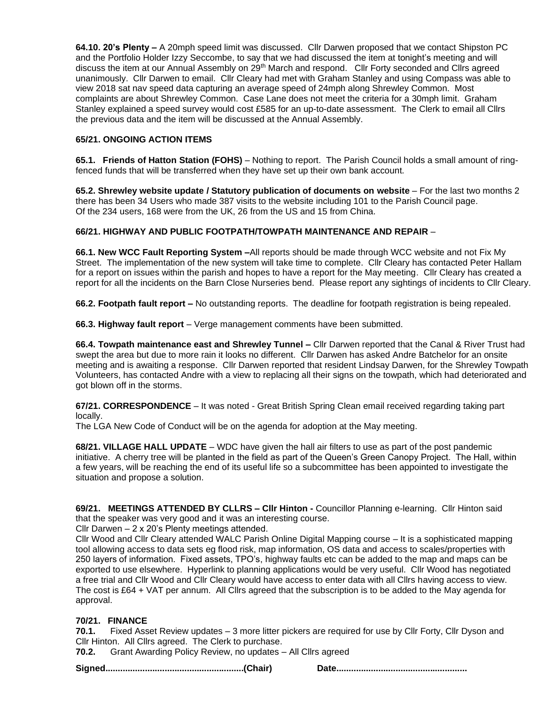**64.10. 20's Plenty –** A 20mph speed limit was discussed. Cllr Darwen proposed that we contact Shipston PC and the Portfolio Holder Izzy Seccombe, to say that we had discussed the item at tonight's meeting and will discuss the item at our Annual Assembly on 29<sup>th</sup> March and respond. Cllr Forty seconded and Cllrs agreed unanimously. Cllr Darwen to email. Cllr Cleary had met with Graham Stanley and using Compass was able to view 2018 sat nav speed data capturing an average speed of 24mph along Shrewley Common. Most complaints are about Shrewley Common. Case Lane does not meet the criteria for a 30mph limit. Graham Stanley explained a speed survey would cost £585 for an up-to-date assessment. The Clerk to email all Cllrs the previous data and the item will be discussed at the Annual Assembly.

## **65/21. ONGOING ACTION ITEMS**

**65.1. Friends of Hatton Station (FOHS)** – Nothing to report. The Parish Council holds a small amount of ringfenced funds that will be transferred when they have set up their own bank account.

**65.2. Shrewley website update / Statutory publication of documents on website** – For the last two months 2 there has been 34 Users who made 387 visits to the website including 101 to the Parish Council page. Of the 234 users, 168 were from the UK, 26 from the US and 15 from China.

## **66/21. HIGHWAY AND PUBLIC FOOTPATH/TOWPATH MAINTENANCE AND REPAIR** –

**66.1. New WCC Fault Reporting System –**All reports should be made through WCC website and not Fix My Street. The implementation of the new system will take time to complete. Cllr Cleary has contacted Peter Hallam for a report on issues within the parish and hopes to have a report for the May meeting. Cllr Cleary has created a report for all the incidents on the Barn Close Nurseries bend. Please report any sightings of incidents to Cllr Cleary.

**66.2. Footpath fault report –** No outstanding reports. The deadline for footpath registration is being repealed.

**66.3. Highway fault report** – Verge management comments have been submitted.

**66.4. Towpath maintenance east and Shrewley Tunnel –** Cllr Darwen reported that the Canal & River Trust had swept the area but due to more rain it looks no different. Cllr Darwen has asked Andre Batchelor for an onsite meeting and is awaiting a response. Cllr Darwen reported that resident Lindsay Darwen, for the Shrewley Towpath Volunteers, has contacted Andre with a view to replacing all their signs on the towpath, which had deteriorated and got blown off in the storms.

**67/21. CORRESPONDENCE** – It was noted - Great British Spring Clean email received regarding taking part locally.

The LGA New Code of Conduct will be on the agenda for adoption at the May meeting.

**68/21. VILLAGE HALL UPDATE** – WDC have given the hall air filters to use as part of the post pandemic initiative. A cherry tree will be planted in the field as part of the Queen's Green Canopy Project. The Hall, within a few years, will be reaching the end of its useful life so a subcommittee has been appointed to investigate the situation and propose a solution.

**69/21. MEETINGS ATTENDED BY CLLRS – Cllr Hinton -** Councillor Planning e-learning. Cllr Hinton said that the speaker was very good and it was an interesting course.

Cllr Darwen – 2 x 20's Plenty meetings attended.

Cllr Wood and Cllr Cleary attended WALC Parish Online Digital Mapping course – It is a sophisticated mapping tool allowing access to data sets eg flood risk, map information, OS data and access to scales/properties with 250 layers of information. Fixed assets, TPO's, highway faults etc can be added to the map and maps can be exported to use elsewhere. Hyperlink to planning applications would be very useful. Cllr Wood has negotiated a free trial and Cllr Wood and Cllr Cleary would have access to enter data with all Cllrs having access to view. The cost is £64 + VAT per annum. All Cllrs agreed that the subscription is to be added to the May agenda for approval.

## **70/21. FINANCE**

**70.1.** Fixed Asset Review updates – 3 more litter pickers are required for use by Cllr Forty, Cllr Dyson and Cllr Hinton. All Cllrs agreed. The Clerk to purchase.

**70.2.** Grant Awarding Policy Review, no updates – All Cllrs agreed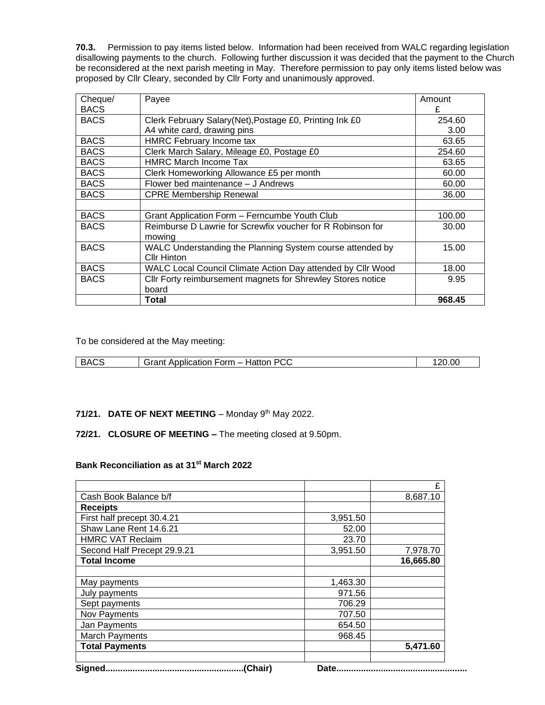**70.3.** Permission to pay items listed below. Information had been received from WALC regarding legislation disallowing payments to the church. Following further discussion it was decided that the payment to the Church be reconsidered at the next parish meeting in May. Therefore permission to pay only items listed below was proposed by Cllr Cleary, seconded by Cllr Forty and unanimously approved.

| Cheque/     | Payee                                                       | Amount |
|-------------|-------------------------------------------------------------|--------|
| <b>BACS</b> |                                                             | £      |
| <b>BACS</b> | Clerk February Salary (Net), Postage £0, Printing Ink £0    | 254.60 |
|             | A4 white card, drawing pins                                 | 3.00   |
| <b>BACS</b> | <b>HMRC February Income tax</b>                             | 63.65  |
| <b>BACS</b> | Clerk March Salary, Mileage £0, Postage £0                  | 254.60 |
| <b>BACS</b> | <b>HMRC March Income Tax</b>                                | 63.65  |
| <b>BACS</b> | Clerk Homeworking Allowance £5 per month                    | 60.00  |
| <b>BACS</b> | Flower bed maintenance - J Andrews                          | 60.00  |
| <b>BACS</b> | <b>CPRE Membership Renewal</b>                              | 36.00  |
|             |                                                             |        |
| <b>BACS</b> | Grant Application Form - Ferncumbe Youth Club               | 100.00 |
| <b>BACS</b> | Reimburse D Lawrie for Screwfix voucher for R Robinson for  | 30.00  |
|             | mowing                                                      |        |
| <b>BACS</b> | WALC Understanding the Planning System course attended by   | 15.00  |
|             | Cllr Hinton                                                 |        |
| <b>BACS</b> | WALC Local Council Climate Action Day attended by Cllr Wood | 18.00  |
| <b>BACS</b> | Cllr Forty reimbursement magnets for Shrewley Stores notice | 9.95   |
|             | board                                                       |        |
|             | Total                                                       | 968.45 |

To be considered at the May meeting:

| 3A′<br>$\sim$ | $-$ orm $-$<br>`~~~<br>Hattor<br><b>ATIOL</b><br>anniir'<br>UU | ንስ<br>0.00 |
|---------------|----------------------------------------------------------------|------------|
|               |                                                                |            |

#### 71/21. DATE OF NEXT MEETING - Monday 9<sup>th</sup> May 2022.

#### **72/21. CLOSURE OF MEETING –** The meeting closed at 9.50pm.

## **Bank Reconciliation as at 31st March 2022**

|                             |          | £         |
|-----------------------------|----------|-----------|
| Cash Book Balance b/f       |          | 8,687.10  |
| <b>Receipts</b>             |          |           |
| First half precept 30.4.21  | 3,951.50 |           |
| Shaw Lane Rent 14.6.21      | 52.00    |           |
| <b>HMRC VAT Reclaim</b>     | 23.70    |           |
| Second Half Precept 29.9.21 | 3,951.50 | 7,978.70  |
| <b>Total Income</b>         |          | 16,665.80 |
|                             |          |           |
| May payments                | 1,463.30 |           |
| July payments               | 971.56   |           |
| Sept payments               | 706.29   |           |
| Nov Payments                | 707.50   |           |
| Jan Payments                | 654.50   |           |
| <b>March Payments</b>       | 968.45   |           |
| <b>Total Payments</b>       |          | 5,471.60  |
| $\sim$<br>$\sim$            |          |           |